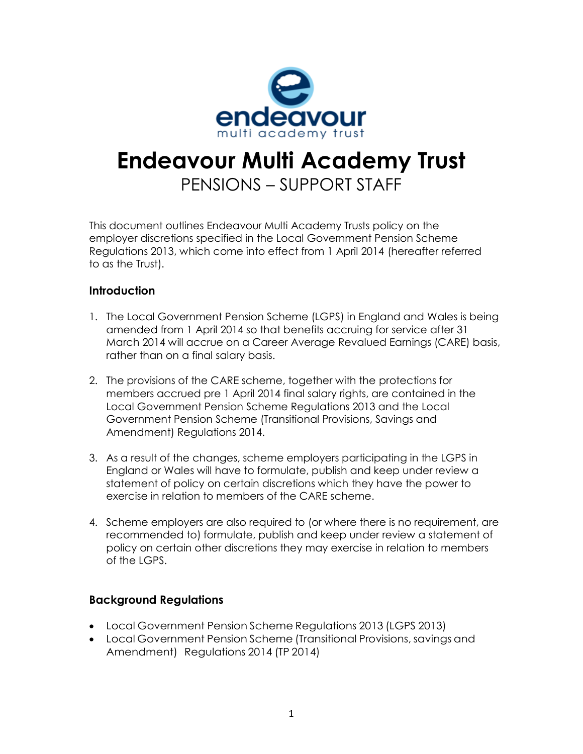

# **Endeavour Multi Academy Trust** PENSIONS – SUPPORT STAFF

This document outlines Endeavour Multi Academy Trusts policy on the employer discretions specified in the Local Government Pension Scheme Regulations 2013, which come into effect from 1 April 2014 (hereafter referred to as the Trust).

#### **Introduction**

- 1. The Local Government Pension Scheme (LGPS) in England and Wales is being amended from 1 April 2014 so that benefits accruing for service after 31 March 2014 will accrue on a Career Average Revalued Earnings (CARE) basis, rather than on a final salary basis.
- 2. The provisions of the CARE scheme, together with the protections for members accrued pre 1 April 2014 final salary rights, are contained in the Local Government Pension Scheme Regulations 2013 and the Local Government Pension Scheme (Transitional Provisions, Savings and Amendment) Regulations 2014.
- 3. As a result of the changes, scheme employers participating in the LGPS in England or Wales will have to formulate, publish and keep under review a statement of policy on certain discretions which they have the power to exercise in relation to members of the CARE scheme.
- 4. Scheme employers are also required to (or where there is no requirement, are recommended to) formulate, publish and keep under review a statement of policy on certain other discretions they may exercise in relation to members of the LGPS.

#### **Background Regulations**

- Local Government Pension Scheme Regulations 2013 (LGPS 2013)
- Local Government Pension Scheme (Transitional Provisions, savings and Amendment) Regulations 2014 (TP 2014)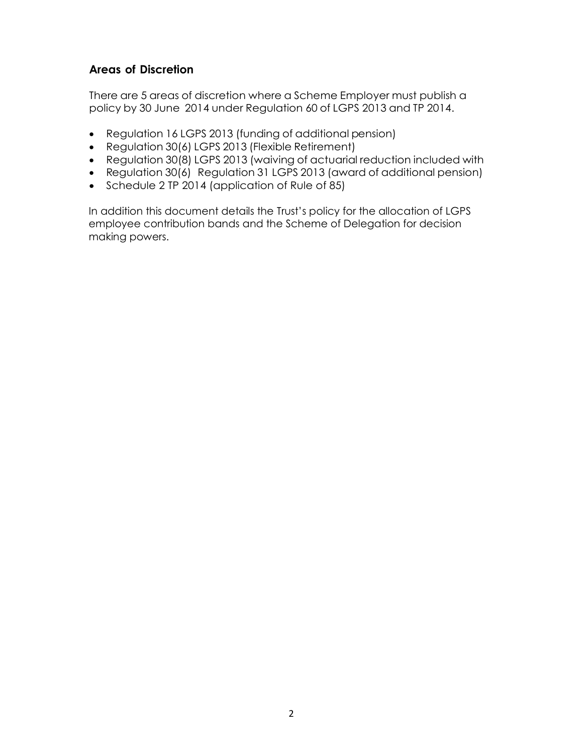## **Areas of Discretion**

There are 5 areas of discretion where a Scheme Employer must publish a policy by 30 June 2014 under Regulation 60 of LGPS 2013 and TP 2014.

- Regulation 16 LGPS 2013 (funding of additional pension)
- Regulation 30(6) LGPS 2013 (Flexible Retirement)
- Regulation 30(8) LGPS 2013 (waiving of actuarial reduction included with
- Regulation 30(6) Regulation 31 LGPS 2013 (award of additional pension)
- Schedule 2 TP 2014 (application of Rule of 85)

In addition this document details the Trust's policy for the allocation of LGPS employee contribution bands and the Scheme of Delegation for decision making powers.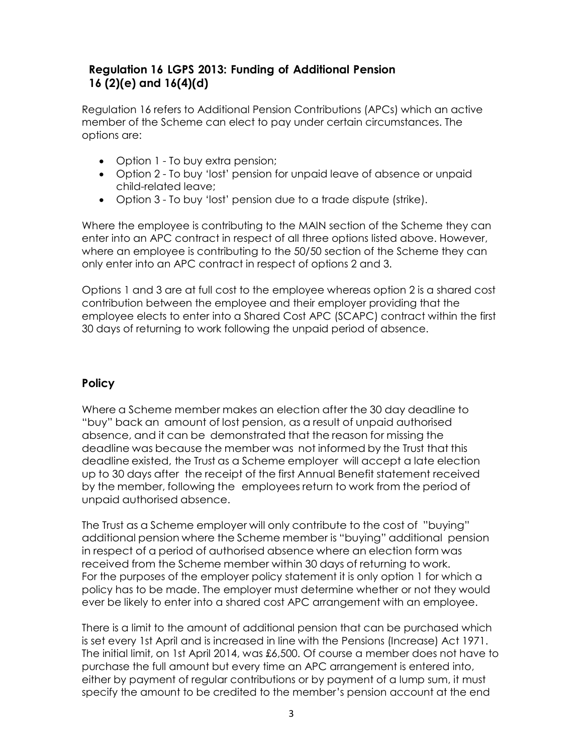## **Regulation 16 LGPS 2013: Funding of Additional Pension 16 (2)(e) and 16(4)(d)**

Regulation 16 refers to Additional Pension Contributions (APCs) which an active member of the Scheme can elect to pay under certain circumstances. The options are:

- Option 1 To buy extra pension;
- Option 2 To buy 'lost' pension for unpaid leave of absence or unpaid child-related leave;
- Option 3 To buy 'lost' pension due to a trade dispute (strike).

Where the employee is contributing to the MAIN section of the Scheme they can enter into an APC contract in respect of all three options listed above. However, where an employee is contributing to the 50/50 section of the Scheme they can only enter into an APC contract in respect of options 2 and 3.

Options 1 and 3 are at full cost to the employee whereas option 2 is a shared cost contribution between the employee and their employer providing that the employee elects to enter into a Shared Cost APC (SCAPC) contract within the first 30 days of returning to work following the unpaid period of absence.

## **Policy**

Where a Scheme member makes an election after the 30 day deadline to "buy" back an amount of lost pension, as a result of unpaid authorised absence, and it can be demonstrated that the reason for missing the deadline was because the member was not informed by the Trust that this deadline existed, the Trust as a Scheme employer will accept a late election up to 30 days after the receipt of the first Annual Benefit statement received by the member, following the employees return to work from the period of unpaid authorised absence.

The Trust as a Scheme employer will only contribute to the cost of "buying" additional pension where the Scheme member is "buying" additional pension in respect of a period of authorised absence where an election form was received from the Scheme member within 30 days of returning to work. For the purposes of the employer policy statement it is only option 1 for which a policy has to be made. The employer must determine whether or not they would ever be likely to enter into a shared cost APC arrangement with an employee.

There is a limit to the amount of additional pension that can be purchased which is set every 1st April and is increased in line with the Pensions (Increase) Act 1971. The initial limit, on 1st April 2014, was £6,500. Of course a member does not have to purchase the full amount but every time an APC arrangement is entered into, either by payment of regular contributions or by payment of a lump sum, it must specify the amount to be credited to the member's pension account at the end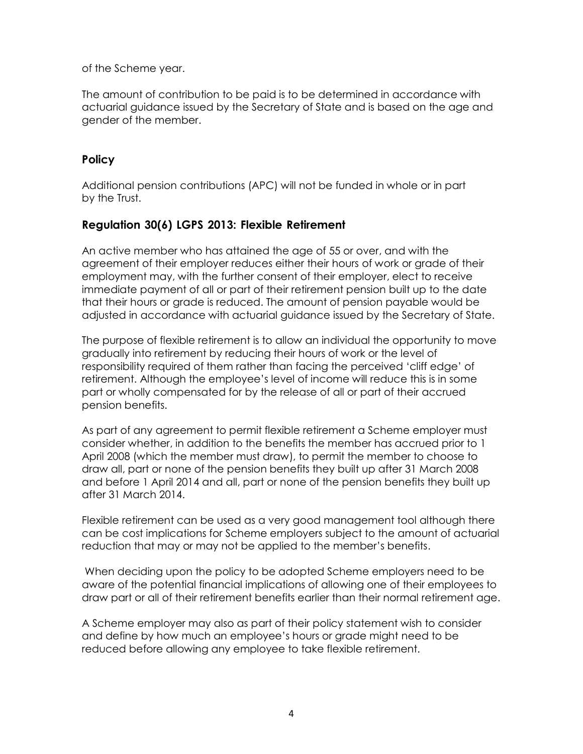of the Scheme year.

The amount of contribution to be paid is to be determined in accordance with actuarial guidance issued by the Secretary of State and is based on the age and gender of the member.

#### **Policy**

Additional pension contributions (APC) will not be funded in whole or in part by the Trust.

## **Regulation 30(6) LGPS 2013: Flexible Retirement**

An active member who has attained the age of 55 or over, and with the agreement of their employer reduces either their hours of work or grade of their employment may, with the further consent of their employer, elect to receive immediate payment of all or part of their retirement pension built up to the date that their hours or grade is reduced. The amount of pension payable would be adjusted in accordance with actuarial guidance issued by the Secretary of State.

The purpose of flexible retirement is to allow an individual the opportunity to move gradually into retirement by reducing their hours of work or the level of responsibility required of them rather than facing the perceived 'cliff edge' of retirement. Although the employee's level of income will reduce this is in some part or wholly compensated for by the release of all or part of their accrued pension benefits.

As part of any agreement to permit flexible retirement a Scheme employer must consider whether, in addition to the benefits the member has accrued prior to 1 April 2008 (which the member must draw), to permit the member to choose to draw all, part or none of the pension benefits they built up after 31 March 2008 and before 1 April 2014 and all, part or none of the pension benefits they built up after 31 March 2014.

Flexible retirement can be used as a very good management tool although there can be cost implications for Scheme employers subject to the amount of actuarial reduction that may or may not be applied to the member's benefits.

When deciding upon the policy to be adopted Scheme employers need to be aware of the potential financial implications of allowing one of their employees to draw part or all of their retirement benefits earlier than their normal retirement age.

A Scheme employer may also as part of their policy statement wish to consider and define by how much an employee's hours or grade might need to be reduced before allowing any employee to take flexible retirement.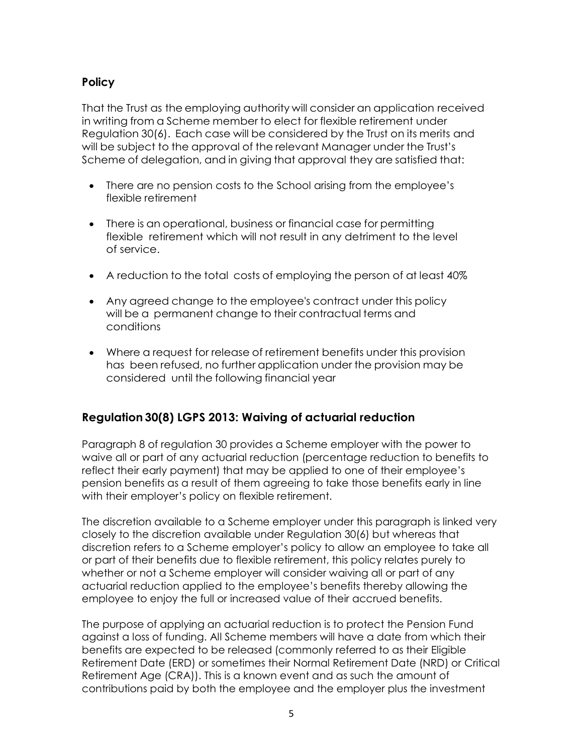## **Policy**

That the Trust as the employing authority will consider an application received in writing from a Scheme member to elect for flexible retirement under Regulation 30(6). Each case will be considered by the Trust on its merits and will be subject to the approval of the relevant Manager under the Trust's Scheme of delegation, and in giving that approval they are satisfied that:

- There are no pension costs to the School arising from the employee's flexible retirement
- There is an operational, business or financial case for permitting flexible retirement which will not result in any detriment to the level of service.
- A reduction to the total costs of employing the person of at least 40%
- Any agreed change to the employee's contract under this policy will be a permanent change to their contractual terms and conditions
- Where a request for release of retirement benefits under this provision has been refused, no further application under the provision may be considered until the following financial year

# **Regulation 30(8) LGPS 2013: Waiving of actuarial reduction**

Paragraph 8 of regulation 30 provides a Scheme employer with the power to waive all or part of any actuarial reduction (percentage reduction to benefits to reflect their early payment) that may be applied to one of their employee's pension benefits as a result of them agreeing to take those benefits early in line with their employer's policy on flexible retirement.

The discretion available to a Scheme employer under this paragraph is linked very closely to the discretion available under Regulation 30(6) but whereas that discretion refers to a Scheme employer's policy to allow an employee to take all or part of their benefits due to flexible retirement, this policy relates purely to whether or not a Scheme employer will consider waiving all or part of any actuarial reduction applied to the employee's benefits thereby allowing the employee to enjoy the full or increased value of their accrued benefits.

The purpose of applying an actuarial reduction is to protect the Pension Fund against a loss of funding. All Scheme members will have a date from which their benefits are expected to be released (commonly referred to as their Eligible Retirement Date (ERD) or sometimes their Normal Retirement Date (NRD) or Critical Retirement Age (CRA)). This is a known event and as such the amount of contributions paid by both the employee and the employer plus the investment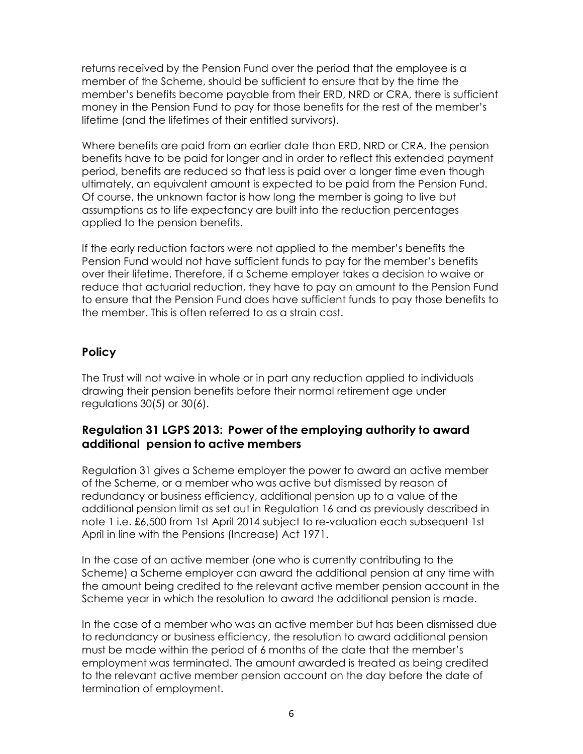returns received by the Pension Fund over the period that the employee is a member of the Scheme, should be sufficient to ensure that by the time the member's benefits become payable from their ERD, NRD or CRA, there is sufficient money in the Pension Fund to pay for those benefits for the rest of the member's lifetime (and the lifetimes of their entitled survivors).

Where benefits are paid from an earlier date than ERD, NRD or CRA, the pension benefits have to be paid for longer and in order to reflect this extended payment period, benefits are reduced so that less is paid over a longer time even though ultimately, an equivalent amount is expected to be paid from the Pension Fund. Of course, the unknown factor is how long the member is going to live but assumptions as to life expectancy are built into the reduction percentages applied to the pension benefits.

If the early reduction factors were not applied to the member's benefits the Pension Fund would not have sufficient funds to pay for the member's benefits over their lifetime. Therefore, if a Scheme employer takes a decision to waive or reduce that actuarial reduction, they have to pay an amount to the Pension Fund to ensure that the Pension Fund does have sufficient funds to pay those benefits to the member. This is often referred to as a strain cost.

## **Policy**

The Trust will not waive in whole or in part any reduction applied to individuals drawing their pension benefits before their normal retirement age under regulations 30(5) or 30(6).

## **Regulation 31 LGPS 2013: Power of the employing authority to award additional pension to active members**

Regulation 31 gives a Scheme employer the power to award an active member of the Scheme, or a member who was active but dismissed by reason of redundancy or business efficiency, additional pension up to a value of the additional pension limit as set out in Regulation 16 and as previously described in note 1 i.e. £6,500 from 1st April 2014 subject to re-valuation each subsequent 1st April in line with the Pensions (Increase) Act 1971.

In the case of an active member (one who is currently contributing to the Scheme) a Scheme employer can award the additional pension at any time with the amount being credited to the relevant active member pension account in the Scheme year in which the resolution to award the additional pension is made.

In the case of a member who was an active member but has been dismissed due to redundancy or business efficiency, the resolution to award additional pension must be made within the period of 6 months of the date that the member's employment was terminated. The amount awarded is treated as being credited to the relevant active member pension account on the day before the date of termination of employment.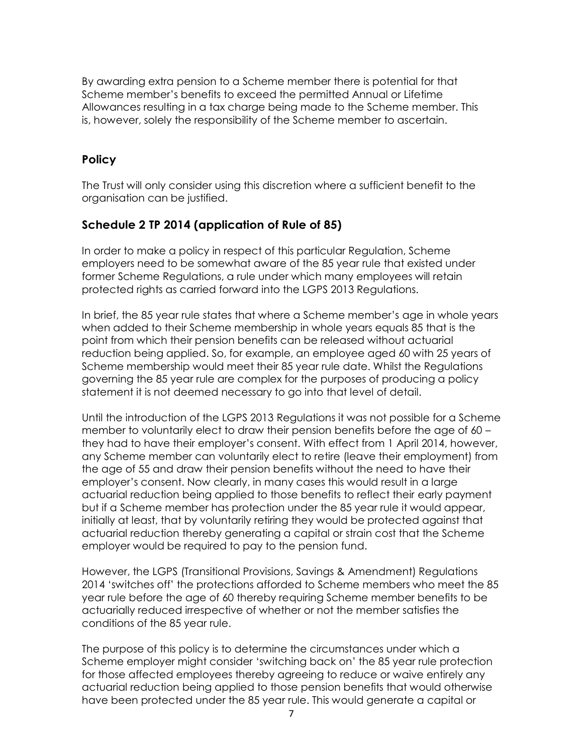By awarding extra pension to a Scheme member there is potential for that Scheme member's benefits to exceed the permitted Annual or Lifetime Allowances resulting in a tax charge being made to the Scheme member. This is, however, solely the responsibility of the Scheme member to ascertain.

## **Policy**

The Trust will only consider using this discretion where a sufficient benefit to the organisation can be justified.

## **Schedule 2 TP 2014 (application of Rule of 85)**

In order to make a policy in respect of this particular Regulation, Scheme employers need to be somewhat aware of the 85 year rule that existed under former Scheme Regulations, a rule under which many employees will retain protected rights as carried forward into the LGPS 2013 Regulations.

In brief, the 85 year rule states that where a Scheme member's age in whole years when added to their Scheme membership in whole years equals 85 that is the point from which their pension benefits can be released without actuarial reduction being applied. So, for example, an employee aged 60 with 25 years of Scheme membership would meet their 85 year rule date. Whilst the Regulations governing the 85 year rule are complex for the purposes of producing a policy statement it is not deemed necessary to go into that level of detail.

Until the introduction of the LGPS 2013 Regulations it was not possible for a Scheme member to voluntarily elect to draw their pension benefits before the age of 60 – they had to have their employer's consent. With effect from 1 April 2014, however, any Scheme member can voluntarily elect to retire (leave their employment) from the age of 55 and draw their pension benefits without the need to have their employer's consent. Now clearly, in many cases this would result in a large actuarial reduction being applied to those benefits to reflect their early payment but if a Scheme member has protection under the 85 year rule it would appear, initially at least, that by voluntarily retiring they would be protected against that actuarial reduction thereby generating a capital or strain cost that the Scheme employer would be required to pay to the pension fund.

However, the LGPS (Transitional Provisions, Savings & Amendment) Regulations 2014 'switches off' the protections afforded to Scheme members who meet the 85 year rule before the age of 60 thereby requiring Scheme member benefits to be actuarially reduced irrespective of whether or not the member satisfies the conditions of the 85 year rule.

The purpose of this policy is to determine the circumstances under which a Scheme employer might consider 'switching back on' the 85 year rule protection for those affected employees thereby agreeing to reduce or waive entirely any actuarial reduction being applied to those pension benefits that would otherwise have been protected under the 85 year rule. This would generate a capital or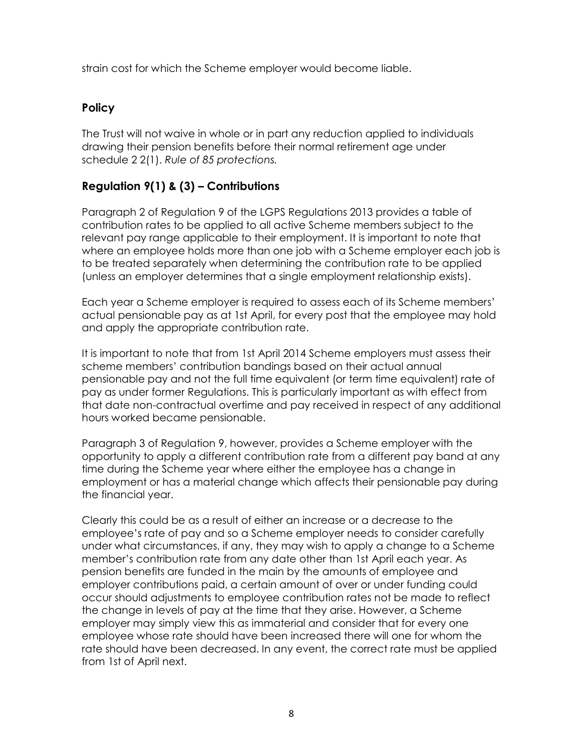strain cost for which the Scheme employer would become liable.

#### **Policy**

The Trust will not waive in whole or in part any reduction applied to individuals drawing their pension benefits before their normal retirement age under schedule 2 2(1). *Rule of 85 protections.*

## **Regulation 9(1) & (3) – Contributions**

Paragraph 2 of Regulation 9 of the LGPS Regulations 2013 provides a table of contribution rates to be applied to all active Scheme members subject to the relevant pay range applicable to their employment. It is important to note that where an employee holds more than one job with a Scheme employer each job is to be treated separately when determining the contribution rate to be applied (unless an employer determines that a single employment relationship exists).

Each year a Scheme employer is required to assess each of its Scheme members' actual pensionable pay as at 1st April, for every post that the employee may hold and apply the appropriate contribution rate.

It is important to note that from 1st April 2014 Scheme employers must assess their scheme members' contribution bandings based on their actual annual pensionable pay and not the full time equivalent (or term time equivalent) rate of pay as under former Regulations. This is particularly important as with effect from that date non-contractual overtime and pay received in respect of any additional hours worked became pensionable.

Paragraph 3 of Regulation 9, however, provides a Scheme employer with the opportunity to apply a different contribution rate from a different pay band at any time during the Scheme year where either the employee has a change in employment or has a material change which affects their pensionable pay during the financial year.

Clearly this could be as a result of either an increase or a decrease to the employee's rate of pay and so a Scheme employer needs to consider carefully under what circumstances, if any, they may wish to apply a change to a Scheme member's contribution rate from any date other than 1st April each year. As pension benefits are funded in the main by the amounts of employee and employer contributions paid, a certain amount of over or under funding could occur should adjustments to employee contribution rates not be made to reflect the change in levels of pay at the time that they arise. However, a Scheme employer may simply view this as immaterial and consider that for every one employee whose rate should have been increased there will one for whom the rate should have been decreased. In any event, the correct rate must be applied from 1st of April next.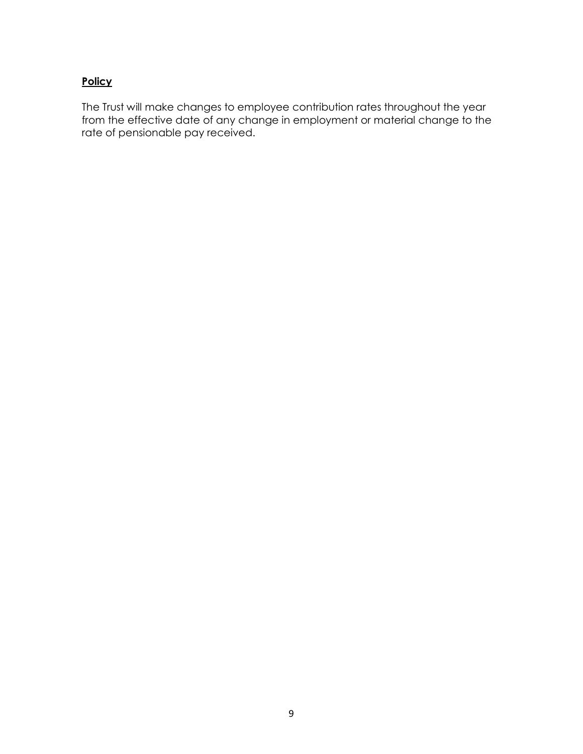## **Policy**

The Trust will make changes to employee contribution rates throughout the year from the effective date of any change in employment or material change to the rate of pensionable pay received.